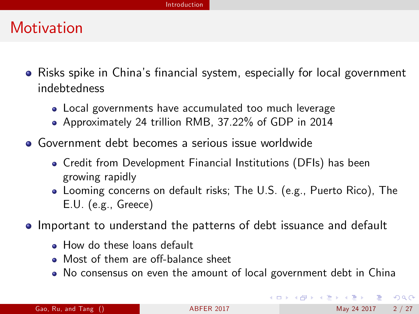### **Motivation**

- Risks spike in China's financial system, especially for local government indebtedness
	- Local governments have accumulated too much leverage
	- Approximately 24 trillion RMB, 37.22% of GDP in 2014
- Government debt becomes a serious issue worldwide
	- Credit from Development Financial Institutions (DFIs) has been growing rapidly
	- Looming concerns on default risks; The U.S. (e.g., Puerto Rico), The E.U. (e.g., Greece)
- Important to understand the patterns of debt issuance and default
	- How do these loans default
	- Most of them are off-balance sheet
	- No consensus on even the amount of local government debt in China

 $\equiv$   $\cap$   $\alpha$ 

 $\left\{ \begin{array}{ccc} 1 & 0 & 0 \\ 0 & 1 & 0 \end{array} \right.$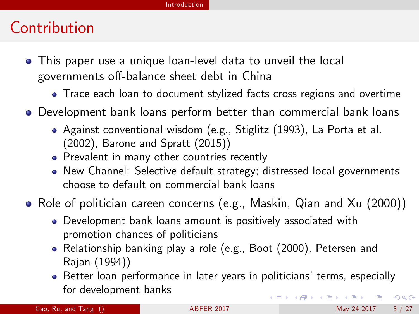### **Contribution**

- This paper use a unique loan-level data to unveil the local governments off-balance sheet debt in China
	- Trace each loan to document stylized facts cross regions and overtime
- Development bank loans perform better than commercial bank loans
	- Against conventional wisdom (e.g., Stiglitz (1993), La Porta et al. (2002), Barone and Spratt (2015))
	- Prevalent in many other countries recently
	- New Channel: Selective default strategy; distressed local governments choose to default on commercial bank loans
- Role of politician careen concerns (e.g., Maskin, Qian and Xu (2000))
	- Development bank loans amount is positively associated with promotion chances of politicians
	- Relationship banking play a role (e.g., Boot (2000), Petersen and Rajan (1994))
	- Better loan performance in later years in politicians' terms, especially for development banks  $\left\{ \begin{array}{ccc} 1 & 0 & 0 \\ 0 & 1 & 0 \end{array} \right.$  $\equiv$   $\cap$   $\alpha$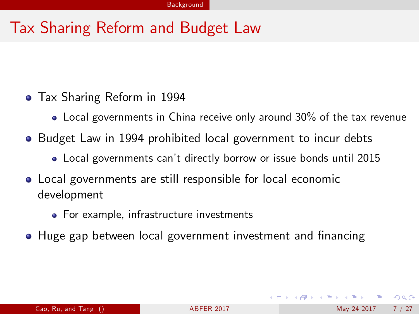### Tax Sharing Reform and Budget Law

- Tax Sharing Reform in 1994
	- Local governments in China receive only around 30% of the tax revenue
- Budget Law in 1994 prohibited local government to incur debts
	- Local governments can't directly borrow or issue bonds until 2015
- Local governments are still responsible for local economic development
	- For example, infrastructure investments
- Huge gap between local government investment and financing

 $QQQ$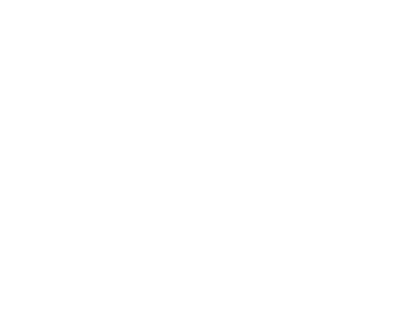### Contribution

This paper use a unique loan-level data to unveil the local governments o¤-balance sheet debt in China

Trace each loan to document stylized facts cross regions and overtim

Development bank loans perform better than commercial bank loan

Against conventional wisdom (e.g., Stiglitz (1993), La Porta et al.

(2002), Barone and Spratt (2015))

Prevalent in many other countries recently

New Channel: Selective default strategy; distressed local governmen choose to default on commercial bank loans

Role of politician careen concerns (e.g., Maskin, Qian and Xu (2000)

Development bank loans amount is positively associated with promotion chances of politicians

Relationship banking play a role (e.g., Boot (2000), Petersen and Rajan (1994))

Better loan performance in later years in politicians' terms, especially for development banks **ADD YEAR YEAR YOUR YOUR** 

Gao, Ru. and Tang ()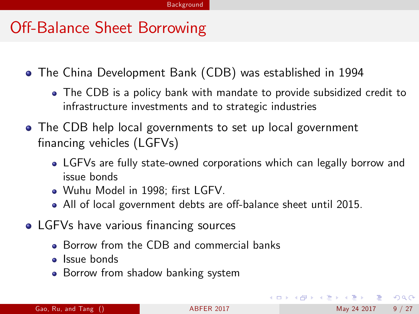### Off-Balance Sheet Borrowing

- The China Development Bank (CDB) was established in 1994
	- The CDB is a policy bank with mandate to provide subsidized credit to infrastructure investments and to strategic industries
- The CDB help local governments to set up local government financing vehicles (LGFVs)
	- LGFVs are fully state-owned corporations which can legally borrow and issue bonds
	- Wuhu Model in 1998; first LGFV.
	- All of local government debts are off-balance sheet until 2015.
- LGFVs have various financing sources
	- Borrow from the CDB and commercial banks
	- Issue bonds
	- Borrow from shadow banking system

 $QQQ$ 

イロト イ押ト イヨト イヨト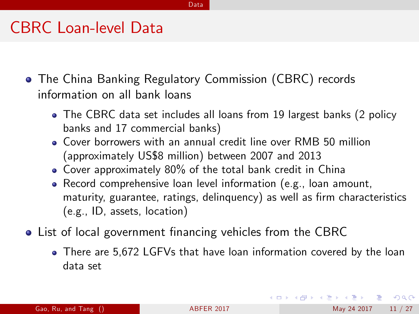### CBRC Loan-level Data

The China Banking Regulatory Commission (CBRC) records information on all bank loans

Data

- The CBRC data set includes all loans from 19 largest banks (2 policy banks and 17 commercial banks)
- Cover borrowers with an annual credit line over RMB 50 million (approximately US\$8 million) between 2007 and 2013
- Cover approximately 80% of the total bank credit in China
- Record comprehensive loan level information (e.g., loan amount, maturity, guarantee, ratings, delinquency) as well as firm characteristics (e.g., ID, assets, location)
- List of local government financing vehicles from the CBRC
	- There are 5,672 LGFVs that have loan information covered by the loan data set

 $=$   $\Omega$ 

 $\left\{ \begin{array}{ccc} 1 & 0 & 0 \\ 0 & 1 & 0 \end{array} \right.$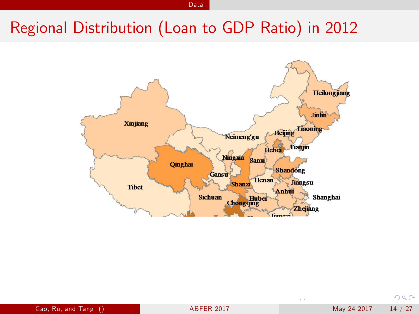Data

# Regional Distribution (Loan to GDP Ratio) in 2012

 $\rightarrow$ Gao, Ru, and Tang () **[ABFER 2017](#page-0-0)** May 24 2017 14 / 27

メロメ メ都 メメ きょくき

- 로

 $-990$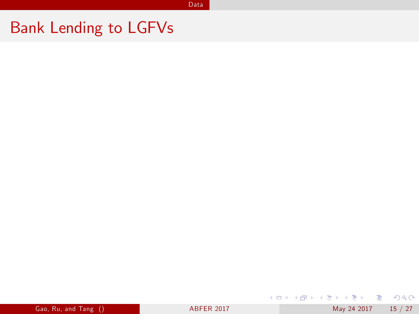## Bank Lending to LGFVs

K ロ ▶ K 個 ▶ K 로 ▶ K 로 ▶ - 로 - K 9 Q @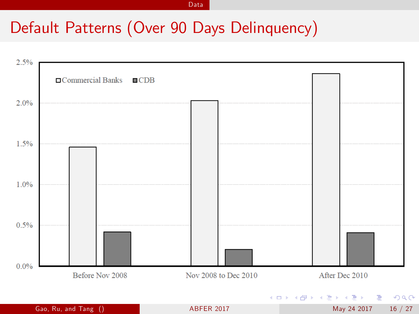#### Data

# Default Patterns (Over 90 Days Delinquency)

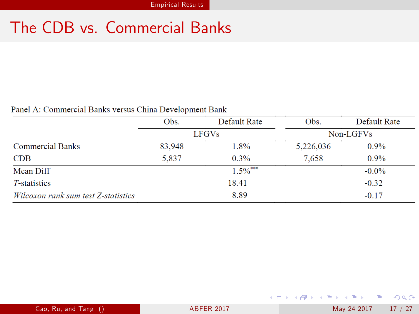# The CDB vs. Commercial Banks

### Panel A: Commercial Banks versus China Development Bank

|                                     | Obs.         | Default Rate | Obs.      | Default Rate |
|-------------------------------------|--------------|--------------|-----------|--------------|
|                                     | <b>LFGVs</b> |              | Non-LGFVs |              |
| <b>Commercial Banks</b>             | 83.948       | 1.8%         | 5.226.036 | $0.9\%$      |
| CDB                                 | 5.837        | $0.3\%$      | 7.658     | $0.9\%$      |
| Mean Diff                           |              | $1.5\%$ ***  |           | $-0.0\%$     |
| T-statistics                        |              | 18.41        |           | $-0.32$      |
| Wilcoxon rank sum test Z-statistics |              | 8.89         |           | $-0.17$      |

 $\equiv$  990

イロト イ部 トイヨ トイヨト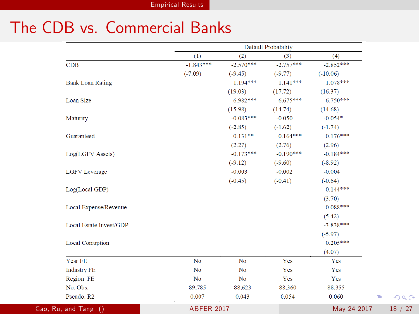# The CDB vs. Commercial Banks

|                               | Default Probability |             |             |             |   |         |
|-------------------------------|---------------------|-------------|-------------|-------------|---|---------|
|                               | (1)                 | (2)         | (3)         | (4)         |   |         |
| CDB                           | $-1.843***$         | $-2.570***$ | $-2.757***$ | $-2.852***$ |   |         |
|                               | $(-7.09)$           | $(-9.45)$   | $(-9.77)$   | $(-10.06)$  |   |         |
| <b>Bank Loan Rating</b>       |                     | $1.194***$  | $1.141***$  | $1.078***$  |   |         |
|                               |                     | (19.03)     | (17.72)     | (16.37)     |   |         |
| Loan Size                     |                     | $6.982***$  | $6.675***$  | $6.750***$  |   |         |
|                               |                     | (15.98)     | (14.74)     | (14.68)     |   |         |
| Maturity                      |                     | $-0.083***$ | $-0.050$    | $-0.054*$   |   |         |
|                               |                     | $(-2.85)$   | $(-1.62)$   | $(-1.74)$   |   |         |
| Guaranteed                    |                     | $0.131**$   | $0.164***$  | $0.176***$  |   |         |
|                               |                     | (2.27)      | (2.76)      | (2.96)      |   |         |
| Log(LGFV Assets)              |                     | $-0.173***$ | $-0.190***$ | $-0.184***$ |   |         |
|                               |                     | $(-9.12)$   | $(-9.60)$   | $(-8.92)$   |   |         |
| <b>LGFV</b> Leverage          |                     | $-0.003$    | $-0.002$    | $-0.004$    |   |         |
|                               |                     | $(-0.45)$   | $(-0.41)$   | $(-0.64)$   |   |         |
| Log(Local GDP)                |                     |             |             | $0.144***$  |   |         |
|                               |                     |             |             | (3.70)      |   |         |
| Local Expense/Revenue         |                     |             |             | $0.088***$  |   |         |
|                               |                     |             |             | (5.42)      |   |         |
| Local Estate Invest/GDP       |                     |             |             | $-3.838***$ |   |         |
|                               |                     |             |             | $(-5.97)$   |   |         |
| <b>Local Corruption</b>       |                     |             |             | $0.205***$  |   |         |
|                               |                     |             |             | (4.07)      |   |         |
| Year FE                       | N <sub>o</sub>      | No          | Yes         | Yes         |   |         |
| <b>Industry FE</b>            | No.                 | No          | Yes         | Yes         |   |         |
| Region FE                     | No.                 | No          | Yes         | Yes         |   |         |
| No. Obs.                      | 89,785              | 88,623      | 88,360      | 88,355      |   |         |
| Pseudo. R2                    | 0.007               | 0.043       | 0.054       | 0.060       | 重 | つへへ     |
| Gao, Ru, and Tang<br>$\left($ | <b>ABFER 2017</b>   |             |             | May 24 2017 |   | 18 / 27 |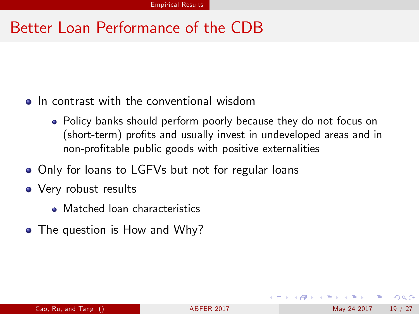### Better Loan Performance of the CDB

### **•** In contrast with the conventional wisdom

- Policy banks should perform poorly because they do not focus on (short-term) profits and usually invest in undeveloped areas and in non-profitable public goods with positive externalities
- Only for loans to LGFVs but not for regular loans
- Very robust results
	- **And Matched loan characteristics**
- The question is How and Why?

 $QQQ$ 

**Allen State**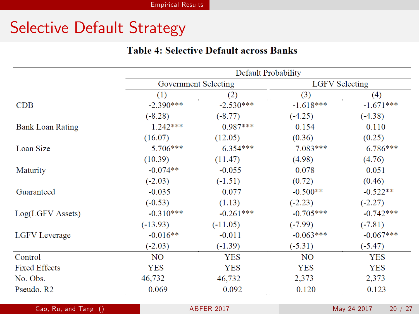# Selective Default Strategy

### **Table 4: Selective Default across Banks**

|                         | Default Probability  |             |                       |             |
|-------------------------|----------------------|-------------|-----------------------|-------------|
|                         | Government Selecting |             | <b>LGFV</b> Selecting |             |
|                         | (1)                  | (2)         | (3)                   | (4)         |
| CDB                     | $-2.390***$          | $-2.530***$ | $-1.618***$           | $-1.671***$ |
|                         | $(-8.28)$            | $(-8.77)$   | $(-4.25)$             | $(-4.38)$   |
| <b>Bank Loan Rating</b> | $1.242***$           | $0.987***$  | 0.154                 | 0.110       |
|                         | (16.07)              | (12.05)     | (0.36)                | (0.25)      |
| Loan Size               | $5.706***$           | $6.354***$  | $7.083***$            | $6.786***$  |
|                         | (10.39)              | (11.47)     | (4.98)                | (4.76)      |
| Maturity                | $-0.074**$           | $-0.055$    | 0.078                 | 0.051       |
|                         | $(-2.03)$            | (1.51)      | (0.72)                | (0.46)      |
| Guaranteed              | $-0.035$             | 0.077       | $-0.500**$            | $-0.522**$  |
|                         | $(-0.53)$            | (1.13)      | $(-2.23)$             | $(-2.27)$   |
| Log(LGFV Assets)        | $-0.310***$          | $-0.261***$ | $-0.705***$           | $-0.742***$ |
|                         | $(-13.93)$           | $(-11.05)$  | $(-7.99)$             | $(-7.81)$   |
| <b>LGFV</b> Leverage    | $-0.016**$           | $-0.011$    | $-0.063***$           | $-0.067***$ |
|                         | $(-2.03)$            | $(-1.39)$   | (.5.31)               | $(-5.47)$   |
| Control                 | <b>NO</b>            | <b>YES</b>  | <b>NO</b>             | <b>YES</b>  |
| <b>Fixed Effects</b>    | <b>YES</b>           | <b>YES</b>  | YES                   | <b>YES</b>  |
| No. Obs.                | 46,732               | 46,732      | 2,373                 | 2,373       |
| Pseudo, R <sub>2</sub>  | 0.069                | 0.092       | 0.120                 | 0.123       |

Gao, Ru, and Tang () and  $\overline{A}$  [ABFER 2017](#page-0-0) May 24 2017 20 / 27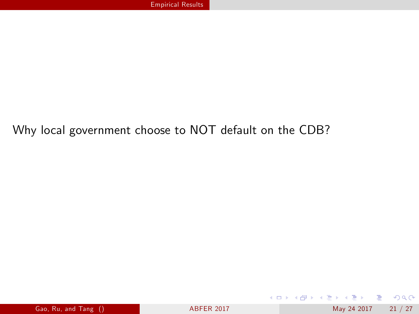### Why local government choose to NOT default on the CDB?

×

重

 $2990$ 

4 ロ ト 4 何 ト 4 ヨ ト 4 ヨ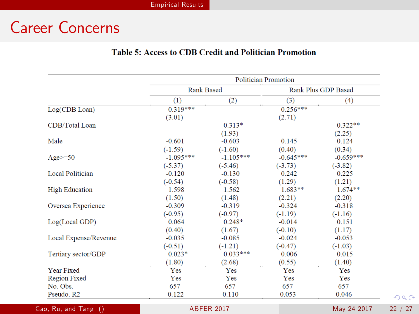# Career Concerns

|                         | Politician Promotion |                   |                            |             |  |
|-------------------------|----------------------|-------------------|----------------------------|-------------|--|
|                         | <b>Rank Based</b>    |                   | <b>Rank Plus GDP Based</b> |             |  |
|                         | (1)                  | (2)               | (3)                        | (4)         |  |
| Log(CDB Loan)           | $0.319***$           |                   | $0.256***$                 |             |  |
|                         | (3.01)               |                   | (2.71)                     |             |  |
| CDB/Total Loan          |                      | $0.313*$          |                            | $0.322**$   |  |
|                         |                      | (1.93)            |                            | (2.25)      |  |
| Male                    | $-0.601$             | $-0.603$          | 0.145                      | 0.124       |  |
|                         | $(-1.59)$            | $(-1.60)$         | (0.40)                     | (0.34)      |  |
| Age $\ge$ =50           | $-1.095***$          | $-1.105***$       | $-0.645***$                | $-0.659***$ |  |
|                         | $(-5.37)$            | $(-5.46)$         | $(-3.73)$                  | $(-3.82)$   |  |
| <b>Local Politician</b> | $-0.120$             | $-0.130$          | 0.242                      | 0.225       |  |
|                         | $(-0.54)$            | $(-0.58)$         | (1.29)                     | (1.21)      |  |
| <b>High Education</b>   | 1.598                | 1.562             | $1.683**$                  | $1.674**$   |  |
|                         | (1.50)               | (1.48)            | (2.21)                     | (2.20)      |  |
| Oversea Experience      | $-0.309$             | $-0.319$          | $-0.324$                   | $-0.318$    |  |
|                         | $(-0.95)$            | $(-0.97)$         | $(-1.19)$                  | $(-1.16)$   |  |
| Log(Local GDP)          | 0.064                | $0.248*$          | $-0.014$                   | 0.151       |  |
|                         | (0.40)               | (1.67)            | $(-0.10)$                  | (1.17)      |  |
| Local Expense/Revenue   | $-0.035$             | $-0.085$          | $-0.024$                   | $-0.053$    |  |
|                         | $(-0.51)$            | $(-1.21)$         | $(-0.47)$                  | $(-1.03)$   |  |
| Tertiary sector/GDP     | $0.023*$             | $0.033***$        | 0.006                      | 0.015       |  |
|                         | (1.80)               | (2.68)            | (0.55)                     | (1.40)      |  |
| <b>Year Fixed</b>       | Yes                  | Yes               | Yes                        | Yes         |  |
| <b>Region Fixed</b>     | Yes                  | Yes               | Yes                        | Yes         |  |
| No. Obs.                | 657                  | 657               | 657                        | 657         |  |
| Pseudo, R <sub>2</sub>  | 0.122                | 0.110             | 0.053                      | 0.046       |  |
| Gao, Ru, and Tang ()    |                      | <b>ABFER 2017</b> |                            | May 24 2017 |  |

### Table 5: Access to CDB Credit and Politician Promotion

 $298$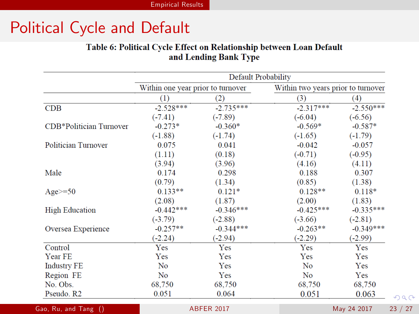### Political Cycle and Default

### Table 6: Political Cycle Effect on Relationship between Loan Default and Lending Bank Type

|                                |                                   | Default Probability |                                    |             |
|--------------------------------|-----------------------------------|---------------------|------------------------------------|-------------|
|                                | Within one year prior to turnover |                     | Within two years prior to turnover |             |
|                                | (1)                               | (2)                 | (3)                                | (4)         |
| CDB                            | $-2.528***$                       | $-2.735***$         | $-2.317***$                        | $-2.550***$ |
|                                | $(-7.41)$                         | $(-7.89)$           | $(-6.04)$                          | $(-6.56)$   |
| <b>CDB*Politician Turnover</b> | $-0.273*$                         | $-0.360*$           | $-0.569*$                          | $-0.587*$   |
|                                | $(-1.88)$                         | $(-1.74)$           | $(-1.65)$                          | $(-1.79)$   |
| Politician Turnover            | 0.075                             | 0.041               | $-0.042$                           | $-0.057$    |
|                                | (1.11)                            | (0.18)              | $(-0.71)$                          | $(-0.95)$   |
|                                | (3.94)                            | (3.96)              | (4.16)                             | (4.11)      |
| Male                           | 0.174                             | 0.298               | 0.188                              | 0.307       |
|                                | (0.79)                            | (1.34)              | (0.85)                             | (1.38)      |
| $Age \geq 50$                  | $0.133**$                         | $0.121*$            | $0.128**$                          | $0.118*$    |
|                                | (2.08)                            | (1.87)              | (2.00)                             | (1.83)      |
| <b>High Education</b>          | $-0.442***$                       | $-0.346***$         | $-0.425***$                        | $-0.335***$ |
|                                | $(-3.79)$                         | $(-2.88)$           | $(-3.66)$                          | $(-2.81)$   |
| Oversea Experience             | $-0.257**$                        | $-0.344***$         | $-0.263**$                         | $-0.349***$ |
|                                | $(-2.24)$                         | $(-2.94)$           | $(-2.29)$                          | $(-2.99)$   |
| Control                        | Yes                               | Yes                 | Yes                                | Yes         |
| Year FE                        | Yes                               | Yes                 | Yes                                | Yes         |
| <b>Industry FE</b>             | No                                | Yes                 | No                                 | Yes         |
| Region FE                      | No                                | Yes                 | No                                 | Yes         |
| No. Obs.                       | 68,750                            | 68,750              | 68,750                             | 68,750      |
| Pseudo. R2                     | 0.051                             | 0.064               | 0.051                              | 0.063       |
| Gao, Ru, and Tang ()           |                                   | <b>ABFER 2017</b>   |                                    | May 24 2017 |

 $298$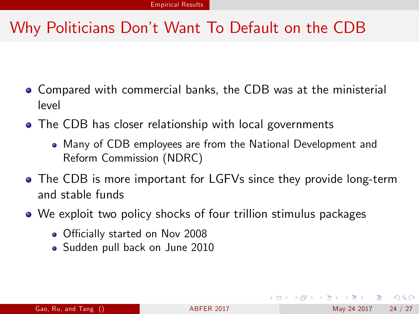# Why Politicians Donít Want To Default on the CDB

- Compared with commercial banks, the CDB was at the ministerial level
- The CDB has closer relationship with local governments
	- Many of CDB employees are from the National Development and Reform Commission (NDRC)
- The CDB is more important for LGFVs since they provide long-term and stable funds
- We exploit two policy shocks of four trillion stimulus packages
	- **Officially started on Nov 2008**
	- Sudden pull back on June 2010

 $\Omega$ 

イロト イ押 トイラト イラト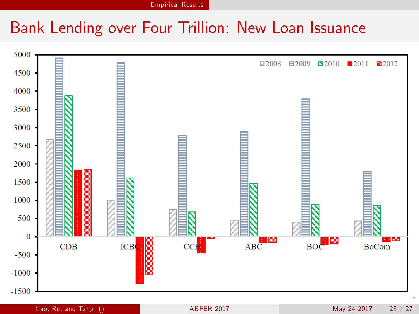Empirical Results

### Bank Lending over Four Trillion: New Loan Issuance

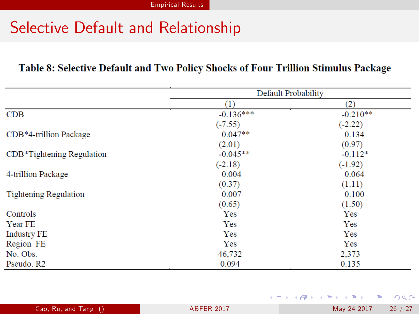# Selective Default and Relationship

### Table 8: Selective Default and Two Policy Shocks of Four Trillion Stimulus Package

|                              | Default Probability |            |  |
|------------------------------|---------------------|------------|--|
|                              | (1)                 | (2)        |  |
| CDB                          | $-0.136***$         | $-0.210**$ |  |
|                              | $(-7.55)$           | $(-2.22)$  |  |
| CDB*4-trillion Package       | $0.047**$           | 0.134      |  |
|                              | (2.01)              | (0.97)     |  |
| CDB*Tightening Regulation    | $-0.045**$          | $-0.112*$  |  |
|                              | $(-2.18)$           | $(-1.92)$  |  |
| 4-trillion Package           | 0.004               | 0.064      |  |
|                              | (0.37)              | (1.11)     |  |
| <b>Tightening Regulation</b> | 0.007               | 0.100      |  |
|                              | (0.65)              | (1.50)     |  |
| Controls                     | Yes                 | Yes        |  |
| Year FE                      | Yes                 | Yes        |  |
| <b>Industry FE</b>           | Yes                 | Yes        |  |
| Region FE                    | Yes                 | Yes        |  |
| No. Obs.                     | 46,732              | 2.373      |  |
| Pseudo, R <sub>2</sub>       | 0.094               | 0.135      |  |

| Gao, Ru, and Tang () | <b>ABFER 2017</b> | 26/27<br>May 24 2017 |
|----------------------|-------------------|----------------------|
|----------------------|-------------------|----------------------|

イロト イ部 トイヨ トイヨト 造  $\Omega$